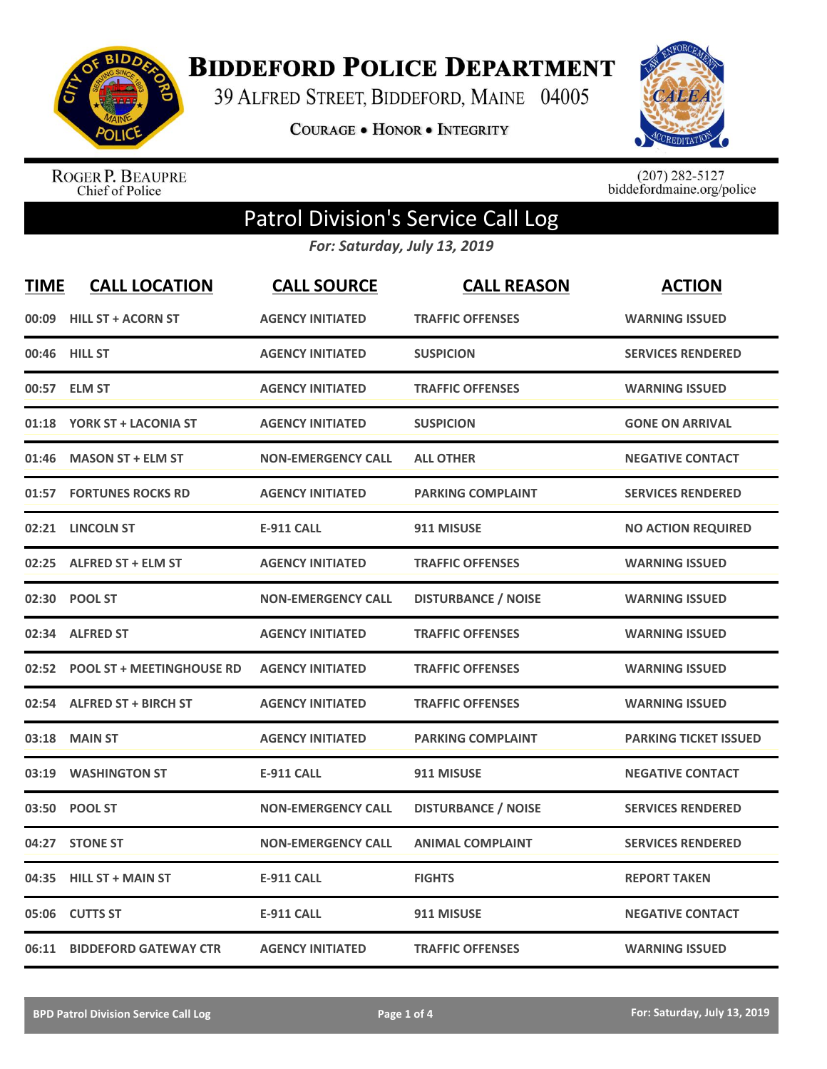

**BIDDEFORD POLICE DEPARTMENT** 

39 ALFRED STREET, BIDDEFORD, MAINE 04005

COURAGE . HONOR . INTEGRITY



ROGER P. BEAUPRE<br>Chief of Police

 $(207)$  282-5127<br>biddefordmaine.org/police

## Patrol Division's Service Call Log

*For: Saturday, July 13, 2019*

| <b>TIME</b> | <b>CALL LOCATION</b>             | <b>CALL SOURCE</b>        | <b>CALL REASON</b>         | <b>ACTION</b>                |
|-------------|----------------------------------|---------------------------|----------------------------|------------------------------|
| 00:09       | <b>HILL ST + ACORN ST</b>        | <b>AGENCY INITIATED</b>   | <b>TRAFFIC OFFENSES</b>    | <b>WARNING ISSUED</b>        |
| 00:46       | <b>HILL ST</b>                   | <b>AGENCY INITIATED</b>   | <b>SUSPICION</b>           | <b>SERVICES RENDERED</b>     |
| 00:57       | <b>ELM ST</b>                    | <b>AGENCY INITIATED</b>   | <b>TRAFFIC OFFENSES</b>    | <b>WARNING ISSUED</b>        |
| 01:18       | YORK ST + LACONIA ST             | <b>AGENCY INITIATED</b>   | <b>SUSPICION</b>           | <b>GONE ON ARRIVAL</b>       |
| 01:46       | <b>MASON ST + ELM ST</b>         | <b>NON-EMERGENCY CALL</b> | <b>ALL OTHER</b>           | <b>NEGATIVE CONTACT</b>      |
| 01:57       | <b>FORTUNES ROCKS RD</b>         | <b>AGENCY INITIATED</b>   | <b>PARKING COMPLAINT</b>   | <b>SERVICES RENDERED</b>     |
| 02:21       | <b>LINCOLN ST</b>                | <b>E-911 CALL</b>         | 911 MISUSE                 | <b>NO ACTION REQUIRED</b>    |
| 02:25       | <b>ALFRED ST + ELM ST</b>        | <b>AGENCY INITIATED</b>   | <b>TRAFFIC OFFENSES</b>    | <b>WARNING ISSUED</b>        |
| 02:30       | <b>POOL ST</b>                   | <b>NON-EMERGENCY CALL</b> | <b>DISTURBANCE / NOISE</b> | <b>WARNING ISSUED</b>        |
|             | 02:34 ALFRED ST                  | <b>AGENCY INITIATED</b>   | <b>TRAFFIC OFFENSES</b>    | <b>WARNING ISSUED</b>        |
| 02:52       | <b>POOL ST + MEETINGHOUSE RD</b> | <b>AGENCY INITIATED</b>   | <b>TRAFFIC OFFENSES</b>    | <b>WARNING ISSUED</b>        |
| 02:54       | <b>ALFRED ST + BIRCH ST</b>      | <b>AGENCY INITIATED</b>   | <b>TRAFFIC OFFENSES</b>    | <b>WARNING ISSUED</b>        |
| 03:18       | <b>MAIN ST</b>                   | <b>AGENCY INITIATED</b>   | <b>PARKING COMPLAINT</b>   | <b>PARKING TICKET ISSUED</b> |
| 03:19       | <b>WASHINGTON ST</b>             | <b>E-911 CALL</b>         | 911 MISUSE                 | <b>NEGATIVE CONTACT</b>      |
| 03:50       | <b>POOL ST</b>                   | <b>NON-EMERGENCY CALL</b> | <b>DISTURBANCE / NOISE</b> | <b>SERVICES RENDERED</b>     |
| 04:27       | <b>STONE ST</b>                  | <b>NON-EMERGENCY CALL</b> | <b>ANIMAL COMPLAINT</b>    | <b>SERVICES RENDERED</b>     |
| 04:35       | <b>HILL ST + MAIN ST</b>         | <b>E-911 CALL</b>         | <b>FIGHTS</b>              | <b>REPORT TAKEN</b>          |
| 05:06       | <b>CUTTS ST</b>                  | <b>E-911 CALL</b>         | 911 MISUSE                 | <b>NEGATIVE CONTACT</b>      |
| 06:11       | <b>BIDDEFORD GATEWAY CTR</b>     | <b>AGENCY INITIATED</b>   | <b>TRAFFIC OFFENSES</b>    | <b>WARNING ISSUED</b>        |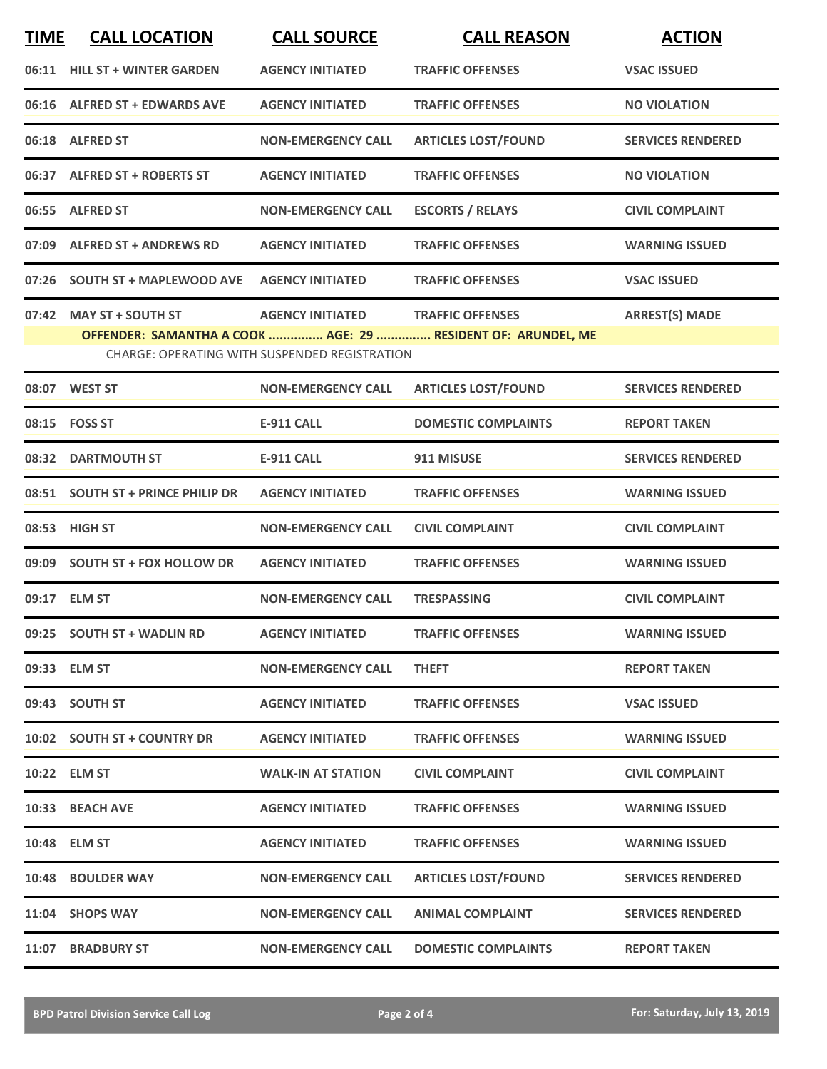| <b>TIME</b> | <b>CALL LOCATION</b>              | <b>CALL SOURCE</b>                                                              | <b>CALL REASON</b>                                                                      | <b>ACTION</b>            |
|-------------|-----------------------------------|---------------------------------------------------------------------------------|-----------------------------------------------------------------------------------------|--------------------------|
|             | 06:11 HILL ST + WINTER GARDEN     | <b>AGENCY INITIATED</b>                                                         | <b>TRAFFIC OFFENSES</b>                                                                 | <b>VSAC ISSUED</b>       |
|             | 06:16 ALFRED ST + EDWARDS AVE     | <b>AGENCY INITIATED</b>                                                         | <b>TRAFFIC OFFENSES</b>                                                                 | <b>NO VIOLATION</b>      |
|             | 06:18 ALFRED ST                   | <b>NON-EMERGENCY CALL</b>                                                       | <b>ARTICLES LOST/FOUND</b>                                                              | <b>SERVICES RENDERED</b> |
|             | 06:37 ALFRED ST + ROBERTS ST      | <b>AGENCY INITIATED</b>                                                         | <b>TRAFFIC OFFENSES</b>                                                                 | <b>NO VIOLATION</b>      |
|             | 06:55 ALFRED ST                   | <b>NON-EMERGENCY CALL</b>                                                       | <b>ESCORTS / RELAYS</b>                                                                 | <b>CIVIL COMPLAINT</b>   |
|             | 07:09 ALFRED ST + ANDREWS RD      | <b>AGENCY INITIATED</b>                                                         | <b>TRAFFIC OFFENSES</b>                                                                 | <b>WARNING ISSUED</b>    |
|             | 07:26 SOUTH ST + MAPLEWOOD AVE    | <b>AGENCY INITIATED</b>                                                         | <b>TRAFFIC OFFENSES</b>                                                                 | <b>VSAC ISSUED</b>       |
|             | 07:42 MAY ST + SOUTH ST           | <b>AGENCY INITIATED</b><br><b>CHARGE: OPERATING WITH SUSPENDED REGISTRATION</b> | <b>TRAFFIC OFFENSES</b><br>OFFENDER: SAMANTHA A COOK  AGE: 29  RESIDENT OF: ARUNDEL, ME | <b>ARREST(S) MADE</b>    |
|             | 08:07 WEST ST                     | <b>NON-EMERGENCY CALL</b>                                                       | <b>ARTICLES LOST/FOUND</b>                                                              | <b>SERVICES RENDERED</b> |
|             | 08:15    FOSS ST                  | <b>E-911 CALL</b>                                                               | <b>DOMESTIC COMPLAINTS</b>                                                              | <b>REPORT TAKEN</b>      |
|             | 08:32 DARTMOUTH ST                | <b>E-911 CALL</b>                                                               | 911 MISUSE                                                                              | <b>SERVICES RENDERED</b> |
|             | 08:51 SOUTH ST + PRINCE PHILIP DR | <b>AGENCY INITIATED</b>                                                         | <b>TRAFFIC OFFENSES</b>                                                                 | <b>WARNING ISSUED</b>    |
| 08:53       | <b>HIGH ST</b>                    | <b>NON-EMERGENCY CALL</b>                                                       | <b>CIVIL COMPLAINT</b>                                                                  | <b>CIVIL COMPLAINT</b>   |
|             | 09:09 SOUTH ST + FOX HOLLOW DR    | <b>AGENCY INITIATED</b>                                                         | <b>TRAFFIC OFFENSES</b>                                                                 | <b>WARNING ISSUED</b>    |
|             | 09:17 ELM ST                      | <b>NON-EMERGENCY CALL</b>                                                       | <b>TRESPASSING</b>                                                                      | <b>CIVIL COMPLAINT</b>   |
|             | 09:25 SOUTH ST + WADLIN RD        | <b>AGENCY INITIATED</b>                                                         | <b>TRAFFIC OFFENSES</b>                                                                 | <b>WARNING ISSUED</b>    |
|             | 09:33 ELM ST                      | <b>NON-EMERGENCY CALL</b>                                                       | <b>THEFT</b>                                                                            | <b>REPORT TAKEN</b>      |
|             | 09:43 SOUTH ST                    | <b>AGENCY INITIATED</b>                                                         | <b>TRAFFIC OFFENSES</b>                                                                 | <b>VSAC ISSUED</b>       |
|             | 10:02 SOUTH ST + COUNTRY DR       | <b>AGENCY INITIATED</b>                                                         | <b>TRAFFIC OFFENSES</b>                                                                 | <b>WARNING ISSUED</b>    |
|             | 10:22 ELM ST                      | <b>WALK-IN AT STATION</b>                                                       | <b>CIVIL COMPLAINT</b>                                                                  | <b>CIVIL COMPLAINT</b>   |
|             | 10:33 BEACH AVE                   | <b>AGENCY INITIATED</b>                                                         | <b>TRAFFIC OFFENSES</b>                                                                 | <b>WARNING ISSUED</b>    |
|             | 10:48 ELM ST                      | <b>AGENCY INITIATED</b>                                                         | <b>TRAFFIC OFFENSES</b>                                                                 | <b>WARNING ISSUED</b>    |
|             | 10:48 BOULDER WAY                 | <b>NON-EMERGENCY CALL</b>                                                       | <b>ARTICLES LOST/FOUND</b>                                                              | <b>SERVICES RENDERED</b> |
|             | 11:04 SHOPS WAY                   | <b>NON-EMERGENCY CALL</b>                                                       | <b>ANIMAL COMPLAINT</b>                                                                 | <b>SERVICES RENDERED</b> |
|             | 11:07 BRADBURY ST                 | <b>NON-EMERGENCY CALL</b>                                                       | <b>DOMESTIC COMPLAINTS</b>                                                              | <b>REPORT TAKEN</b>      |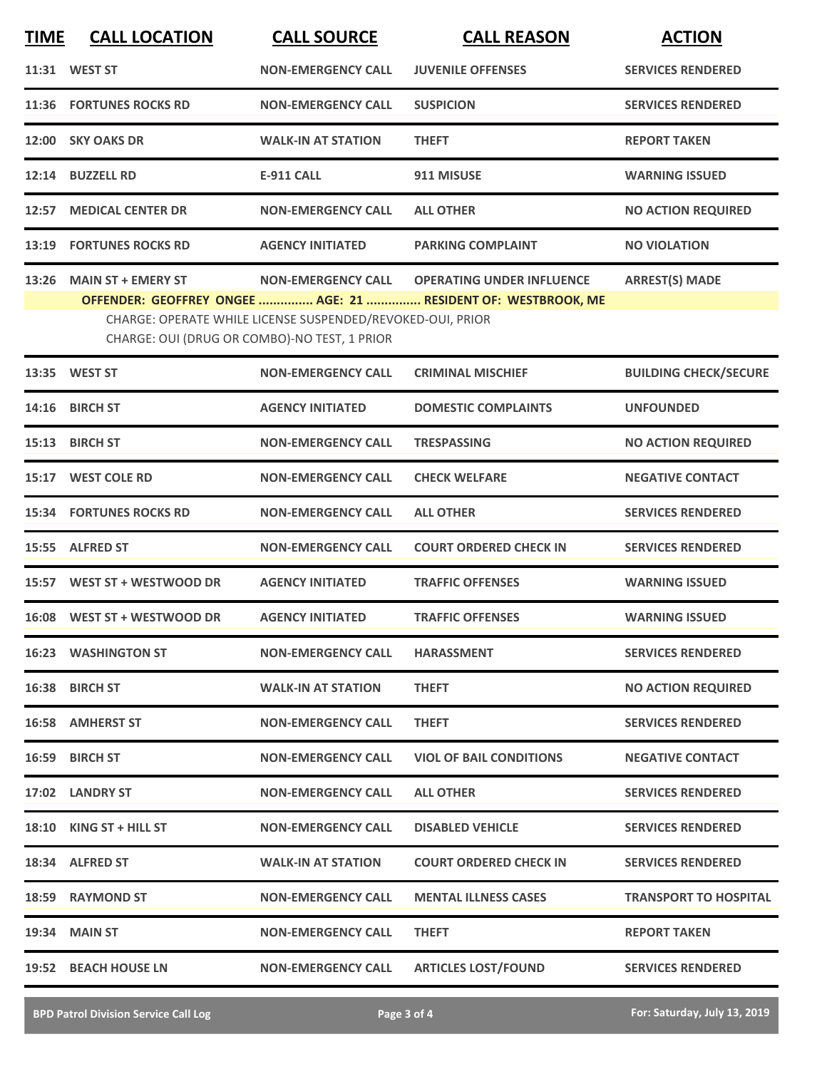| <b>TIME</b> | <b>CALL LOCATION</b>           | <b>CALL SOURCE</b>                                                                                         | <b>CALL REASON</b>                                            | <b>ACTION</b>                |
|-------------|--------------------------------|------------------------------------------------------------------------------------------------------------|---------------------------------------------------------------|------------------------------|
|             | 11:31 WEST ST                  | <b>NON-EMERGENCY CALL</b>                                                                                  | <b>JUVENILE OFFENSES</b>                                      | <b>SERVICES RENDERED</b>     |
| 11:36       | <b>FORTUNES ROCKS RD</b>       | <b>NON-EMERGENCY CALL</b>                                                                                  | <b>SUSPICION</b>                                              | <b>SERVICES RENDERED</b>     |
| 12:00       | <b>SKY OAKS DR</b>             | <b>WALK-IN AT STATION</b>                                                                                  | <b>THEFT</b>                                                  | <b>REPORT TAKEN</b>          |
| 12:14       | <b>BUZZELL RD</b>              | <b>E-911 CALL</b>                                                                                          | 911 MISUSE                                                    | <b>WARNING ISSUED</b>        |
| 12:57       | <b>MEDICAL CENTER DR</b>       | <b>NON-EMERGENCY CALL</b>                                                                                  | <b>ALL OTHER</b>                                              | <b>NO ACTION REQUIRED</b>    |
| 13:19       | <b>FORTUNES ROCKS RD</b>       | <b>AGENCY INITIATED</b>                                                                                    | <b>PARKING COMPLAINT</b>                                      | <b>NO VIOLATION</b>          |
| 13:26       | <b>MAIN ST + EMERY ST</b>      | <b>NON-EMERGENCY CALL</b>                                                                                  | <b>OPERATING UNDER INFLUENCE</b>                              | <b>ARREST(S) MADE</b>        |
|             |                                | CHARGE: OPERATE WHILE LICENSE SUSPENDED/REVOKED-OUI, PRIOR<br>CHARGE: OUI (DRUG OR COMBO)-NO TEST, 1 PRIOR | OFFENDER: GEOFFREY ONGEE  AGE: 21  RESIDENT OF: WESTBROOK, ME |                              |
|             | 13:35 WEST ST                  | <b>NON-EMERGENCY CALL</b>                                                                                  | <b>CRIMINAL MISCHIEF</b>                                      | <b>BUILDING CHECK/SECURE</b> |
| 14:16       | <b>BIRCH ST</b>                | <b>AGENCY INITIATED</b>                                                                                    | <b>DOMESTIC COMPLAINTS</b>                                    | <b>UNFOUNDED</b>             |
| 15:13       | <b>BIRCH ST</b>                | <b>NON-EMERGENCY CALL</b>                                                                                  | <b>TRESPASSING</b>                                            | <b>NO ACTION REQUIRED</b>    |
| 15:17       | <b>WEST COLE RD</b>            | <b>NON-EMERGENCY CALL</b>                                                                                  | <b>CHECK WELFARE</b>                                          | <b>NEGATIVE CONTACT</b>      |
|             | <b>15:34 FORTUNES ROCKS RD</b> | <b>NON-EMERGENCY CALL</b>                                                                                  | <b>ALL OTHER</b>                                              | <b>SERVICES RENDERED</b>     |
|             | 15:55 ALFRED ST                | <b>NON-EMERGENCY CALL</b>                                                                                  | <b>COURT ORDERED CHECK IN</b>                                 | <b>SERVICES RENDERED</b>     |
|             | 15:57 WEST ST + WESTWOOD DR    | <b>AGENCY INITIATED</b>                                                                                    | <b>TRAFFIC OFFENSES</b>                                       | <b>WARNING ISSUED</b>        |
|             | 16:08 WEST ST + WESTWOOD DR    | <b>AGENCY INITIATED</b>                                                                                    | <b>TRAFFIC OFFENSES</b>                                       | <b>WARNING ISSUED</b>        |
|             | <b>16:23 WASHINGTON ST</b>     | <b>NON-EMERGENCY CALL</b>                                                                                  | <b>HARASSMENT</b>                                             | <b>SERVICES RENDERED</b>     |
|             | 16:38 BIRCH ST                 | <b>WALK-IN AT STATION</b>                                                                                  | <b>THEFT</b>                                                  | <b>NO ACTION REQUIRED</b>    |
|             | 16:58 AMHERST ST               | <b>NON-EMERGENCY CALL</b>                                                                                  | <b>THEFT</b>                                                  | <b>SERVICES RENDERED</b>     |
|             | 16:59 BIRCH ST                 | <b>NON-EMERGENCY CALL</b>                                                                                  | <b>VIOL OF BAIL CONDITIONS</b>                                | <b>NEGATIVE CONTACT</b>      |
|             | 17:02 LANDRY ST                | <b>NON-EMERGENCY CALL</b>                                                                                  | <b>ALL OTHER</b>                                              | <b>SERVICES RENDERED</b>     |
|             | 18:10 KING ST + HILL ST        | <b>NON-EMERGENCY CALL</b>                                                                                  | <b>DISABLED VEHICLE</b>                                       | <b>SERVICES RENDERED</b>     |
|             | 18:34 ALFRED ST                | <b>WALK-IN AT STATION</b>                                                                                  | <b>COURT ORDERED CHECK IN</b>                                 | <b>SERVICES RENDERED</b>     |
|             | 18:59 RAYMOND ST               | <b>NON-EMERGENCY CALL</b>                                                                                  | <b>MENTAL ILLNESS CASES</b>                                   | <b>TRANSPORT TO HOSPITAL</b> |
|             | <b>19:34 MAIN ST</b>           | <b>NON-EMERGENCY CALL</b>                                                                                  | <b>THEFT</b>                                                  | <b>REPORT TAKEN</b>          |
|             | 19:52 BEACH HOUSE LN           | <b>NON-EMERGENCY CALL</b>                                                                                  | <b>ARTICLES LOST/FOUND</b>                                    | <b>SERVICES RENDERED</b>     |